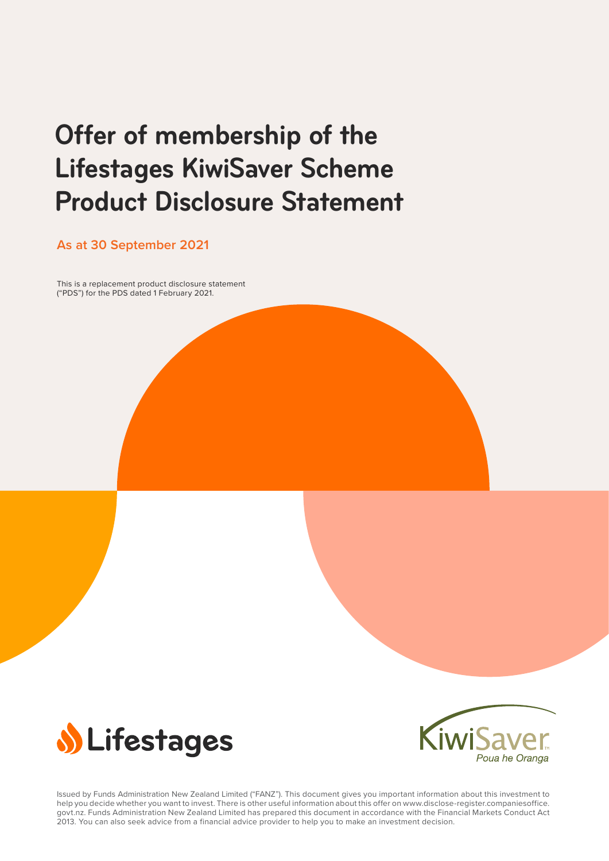# **Offer of membership of the Lifestages KiwiSaver Scheme Product Disclosure Statement**

**As at 30 September 2021**

This is a replacement product disclosure statement ("PDS") for the PDS dated 1 February 2021.





Issued by Funds Administration New Zealand Limited ("FANZ"). This document gives you important information about this investment to help you decide whether you want to invest. There is other useful information about this offer on [www.disclose-register.companiesoffice.](https://www.disclose-register.companiesoffice.govt.nz/) [govt.nz](https://www.disclose-register.companiesoffice.govt.nz/). Funds Administration New Zealand Limited has prepared this document in accordance with the Financial Markets Conduct Act 2013. You can also seek advice from a financial advice provider to help you to make an investment decision.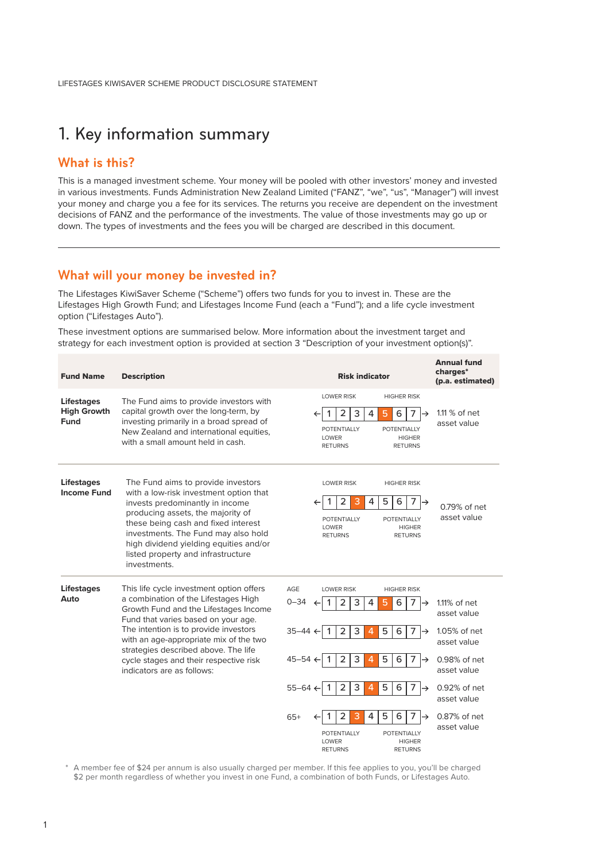## <span id="page-1-0"></span>1. Key information summary

### **What is this?**

This is a managed investment scheme. Your money will be pooled with other investors' money and invested in various investments. Funds Administration New Zealand Limited ("FANZ", "we", "us", "Manager") will invest your money and charge you a fee for its services. The returns you receive are dependent on the investment decisions of FANZ and the performance of the investments. The value of those investments may go up or down. The types of investments and the fees you will be charged are described in this document.

### **What will your money be invested in?**

The Lifestages KiwiSaver Scheme ("Scheme") offers two funds for you to invest in. These are the Lifestages High Growth Fund; and Lifestages Income Fund (each a "Fund"); and a life cycle investment option ("Lifestages Auto").

These investment options are summarised below. More information about the investment target and strategy for each investment option is provided at section 3 "Description of your investment option(s)".

| <b>Fund Name</b>                                | <b>Description</b>                                                                                                                                                                                                                                                                                                                                                  | <b>Risk indicator</b>                                                                                                                                                                                                                                                                                                                                                                                                                                                                                              | <b>Annual fund</b><br>charges*<br>(p.a. estimated)                                                                                                         |
|-------------------------------------------------|---------------------------------------------------------------------------------------------------------------------------------------------------------------------------------------------------------------------------------------------------------------------------------------------------------------------------------------------------------------------|--------------------------------------------------------------------------------------------------------------------------------------------------------------------------------------------------------------------------------------------------------------------------------------------------------------------------------------------------------------------------------------------------------------------------------------------------------------------------------------------------------------------|------------------------------------------------------------------------------------------------------------------------------------------------------------|
| <b>Lifestages</b><br><b>High Growth</b><br>Fund | The Fund aims to provide investors with<br>capital growth over the long-term, by<br>investing primarily in a broad spread of<br>New Zealand and international equities,<br>with a small amount held in cash.                                                                                                                                                        | <b>LOWER RISK</b><br><b>HIGHER RISK</b><br>3<br>$\overline{2}$<br>$\overline{4}$<br>7<br>5<br>6<br>→<br><b>POTENTIALLY</b><br><b>POTENTIALLY</b><br><b>LOWER</b><br><b>HIGHER</b><br><b>RETURNS</b><br><b>RETURNS</b>                                                                                                                                                                                                                                                                                              | $1.11\%$ of net<br>asset value                                                                                                                             |
| <b>Lifestages</b><br><b>Income Fund</b>         | The Fund aims to provide investors<br>with a low-risk investment option that<br>invests predominantly in income<br>producing assets, the majority of<br>these being cash and fixed interest<br>investments. The Fund may also hold<br>high dividend yielding equities and/or<br>listed property and infrastructure<br>investments.                                  | <b>LOWER RISK</b><br><b>HIGHER RISK</b><br>6<br>2<br>3<br>5<br>7<br>4<br><b>POTENTIALLY</b><br><b>POTENTIALLY</b><br><b>LOWER</b><br><b>HIGHER</b><br><b>RETURNS</b><br><b>RETURNS</b>                                                                                                                                                                                                                                                                                                                             | 0.79% of net<br>asset value                                                                                                                                |
| <b>Lifestages</b><br>Auto                       | This life cycle investment option offers<br>a combination of the Lifestages High<br>Growth Fund and the Lifestages Income<br>Fund that varies based on your age.<br>The intention is to provide investors<br>with an age-appropriate mix of the two<br>strategies described above. The life<br>cycle stages and their respective risk<br>indicators are as follows: | AGE<br><b>LOWER RISK</b><br><b>HIGHER RISK</b><br>$0 - 34$<br>$\overline{2}$<br>3<br>4<br>7<br>5<br>6<br>→<br>3<br>$\overline{2}$<br>5<br>6<br>$35 - 44 \div$<br>4<br>7<br>→<br>3<br>$45 - 54$ $\leftarrow$<br>2<br>4<br>5<br>6<br>7<br>$\rightarrow$<br>3<br>5<br>6<br>$\overline{2}$<br>4<br>$\overline{7}$<br>$55 - 64 \leftarrow$<br>-1<br>→<br>2<br>5<br>3<br>4<br>6<br>7<br>$65+$<br>$\rightarrow$<br><b>POTENTIALLY</b><br><b>POTENTIALLY</b><br>LOWER<br><b>HIGHER</b><br><b>RETURNS</b><br><b>RETURNS</b> | $1.11\%$ of net<br>asset value<br>1.05% of net<br>asset value<br>0.98% of net<br>asset value<br>0.92% of net<br>asset value<br>0.87% of net<br>asset value |

\* A member fee of \$24 per annum is also usually charged per member. If this fee applies to you, you'll be charged \$2 per month regardless of whether you invest in one Fund, a combination of both Funds, or Lifestages Auto.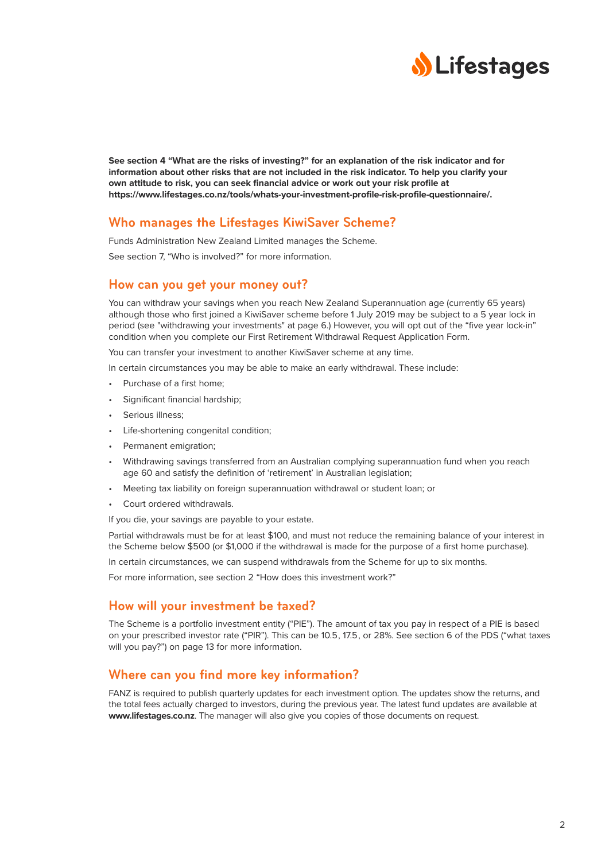

**See section 4 "What are the risks of investing?" for an explanation of the risk indicator and for information about other risks that are not included in the risk indicator. To help you clarify your own attitude to risk, you can seek financial advice or work out your risk profile at [https://www.lifestages.co.nz/tools/whats-your-investment-profile-risk-profile-questionnaire/](https://www.lifestages.co.nz/tools/whats-your-investment-profile-risk-profile-questionnaire).**

### **Who manages the Lifestages KiwiSaver Scheme?**

Funds Administration New Zealand Limited manages the Scheme.

See section 7, "Who is involved?" for more information.

### **How can you get your money out?**

You can withdraw your savings when you reach New Zealand Superannuation age (currently 65 years) although those who first joined a KiwiSaver scheme before 1 July 2019 may be subject to a 5 year lock in period (see "withdrawing your investments" at page 6.) However, you will opt out of the "five year lock-in" condition when you complete our First Retirement Withdrawal Request Application Form.

You can transfer your investment to another KiwiSaver scheme at any time.

In certain circumstances you may be able to make an early withdrawal. These include:

- Purchase of a first home;
- Significant financial hardship:
- Serious illness;
- Life-shortening congenital condition;
- Permanent emigration;
- Withdrawing savings transferred from an Australian complying superannuation fund when you reach age 60 and satisfy the definition of 'retirement' in Australian legislation;
- Meeting tax liability on foreign superannuation withdrawal or student loan; or
- Court ordered withdrawals.

If you die, your savings are payable to your estate.

Partial withdrawals must be for at least \$100, and must not reduce the remaining balance of your interest in the Scheme below \$500 (or \$1,000 if the withdrawal is made for the purpose of a first home purchase).

In certain circumstances, we can suspend withdrawals from the Scheme for up to six months.

For more information, see section 2 "How does this investment work?"

### **How will your investment be taxed?**

The Scheme is a portfolio investment entity ("PIE"). The amount of tax you pay in respect of a PIE is based on your prescribed investor rate ("PIR"). This can be 10.5, 17.5, or 28%. See section 6 of the PDS ("what taxes will you pay?") on page 13 for more information.

### **Where can you find more key information?**

FANZ is required to publish quarterly updates for each investment option. The updates show the returns, and the total fees actually charged to investors, during the previous year. The latest fund updates are available at **[www.lifestages.co.nz](https://www.lifestages.co.nz/)**. The manager will also give you copies of those documents on request.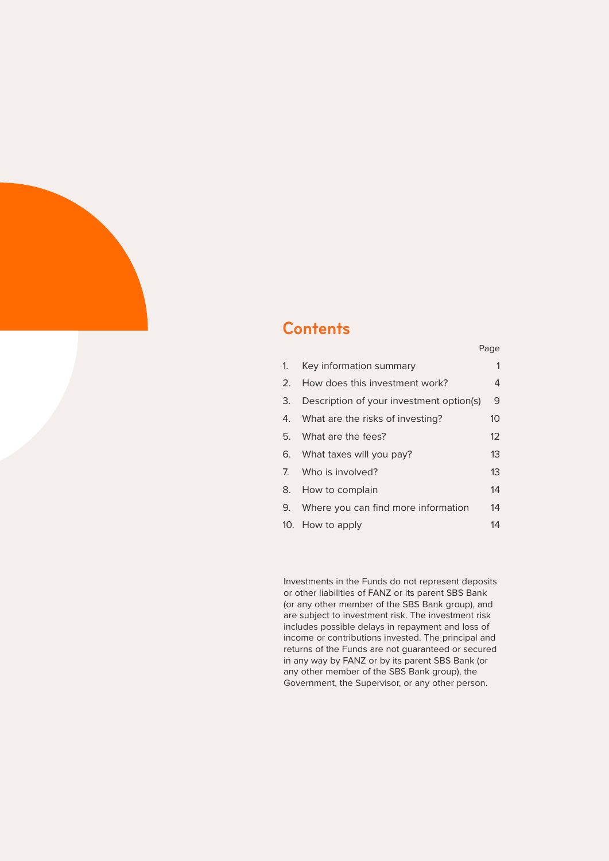# **Contents**

|                                             | raye              |
|---------------------------------------------|-------------------|
| 1. Key information summary                  | 1                 |
| 2. How does this investment work?           | 4                 |
| 3. Description of your investment option(s) | 9                 |
| 4. What are the risks of investing?         | 10 <sup>°</sup>   |
| 5. What are the fees?                       | $12 \overline{ }$ |
| 6. What taxes will you pay?                 | 13                |
| 7. Who is involved?                         | 13                |
| 8. How to complain                          | 14                |
| 9. Where you can find more information      | 14                |
| 10. How to apply                            | 14                |

Page

Investments in the Funds do not represent deposits or other liabilities of FANZ or its parent SBS Bank (or any other member of the SBS Bank group), and are subject to investment risk. The investment risk includes possible delays in repayment and loss of income or contributions invested. The principal and returns of the Funds are not guaranteed or secured in any way by FANZ or by its parent SBS Bank (or any other member of the SBS Bank group), the Government, the Supervisor, or any other person.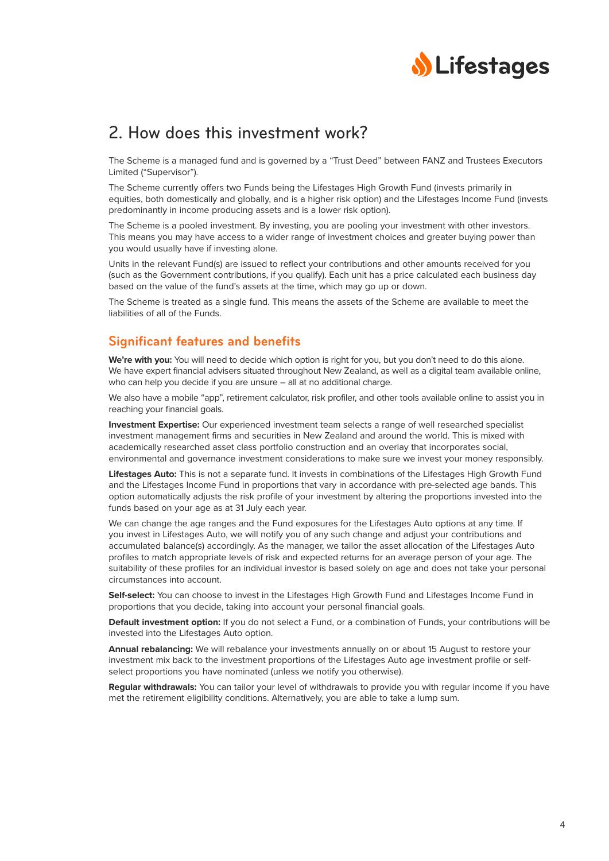

### <span id="page-4-0"></span>2. How does this investment work?

The Scheme is a managed fund and is governed by a "Trust Deed" between FANZ and Trustees Executors Limited ("Supervisor").

The Scheme currently offers two Funds being the Lifestages High Growth Fund (invests primarily in equities, both domestically and globally, and is a higher risk option) and the Lifestages Income Fund (invests predominantly in income producing assets and is a lower risk option).

The Scheme is a pooled investment. By investing, you are pooling your investment with other investors. This means you may have access to a wider range of investment choices and greater buying power than you would usually have if investing alone.

Units in the relevant Fund(s) are issued to reflect your contributions and other amounts received for you (such as the Government contributions, if you qualify). Each unit has a price calculated each business day based on the value of the fund's assets at the time, which may go up or down.

The Scheme is treated as a single fund. This means the assets of the Scheme are available to meet the liabilities of all of the Funds.

### **Significant features and benefits**

**We're with you:** You will need to decide which option is right for you, but you don't need to do this alone. We have expert financial advisers situated throughout New Zealand, as well as a digital team available online, who can help you decide if you are unsure – all at no additional charge.

We also have a mobile "app", retirement calculator, risk profiler, and other tools available online to assist you in reaching your financial goals.

**Investment Expertise:** Our experienced investment team selects a range of well researched specialist investment management firms and securities in New Zealand and around the world. This is mixed with academically researched asset class portfolio construction and an overlay that incorporates social, environmental and governance investment considerations to make sure we invest your money responsibly.

**Lifestages Auto:** This is not a separate fund. It invests in combinations of the Lifestages High Growth Fund and the Lifestages Income Fund in proportions that vary in accordance with pre-selected age bands. This option automatically adjusts the risk profile of your investment by altering the proportions invested into the funds based on your age as at 31 July each year.

We can change the age ranges and the Fund exposures for the Lifestages Auto options at any time. If you invest in Lifestages Auto, we will notify you of any such change and adjust your contributions and accumulated balance(s) accordingly. As the manager, we tailor the asset allocation of the Lifestages Auto profiles to match appropriate levels of risk and expected returns for an average person of your age. The suitability of these profiles for an individual investor is based solely on age and does not take your personal circumstances into account.

**Self-select:** You can choose to invest in the Lifestages High Growth Fund and Lifestages Income Fund in proportions that you decide, taking into account your personal financial goals.

**Default investment option:** If you do not select a Fund, or a combination of Funds, your contributions will be invested into the Lifestages Auto option.

**Annual rebalancing:** We will rebalance your investments annually on or about 15 August to restore your investment mix back to the investment proportions of the Lifestages Auto age investment profile or selfselect proportions you have nominated (unless we notify you otherwise).

**Regular withdrawals:** You can tailor your level of withdrawals to provide you with regular income if you have met the retirement eligibility conditions. Alternatively, you are able to take a lump sum.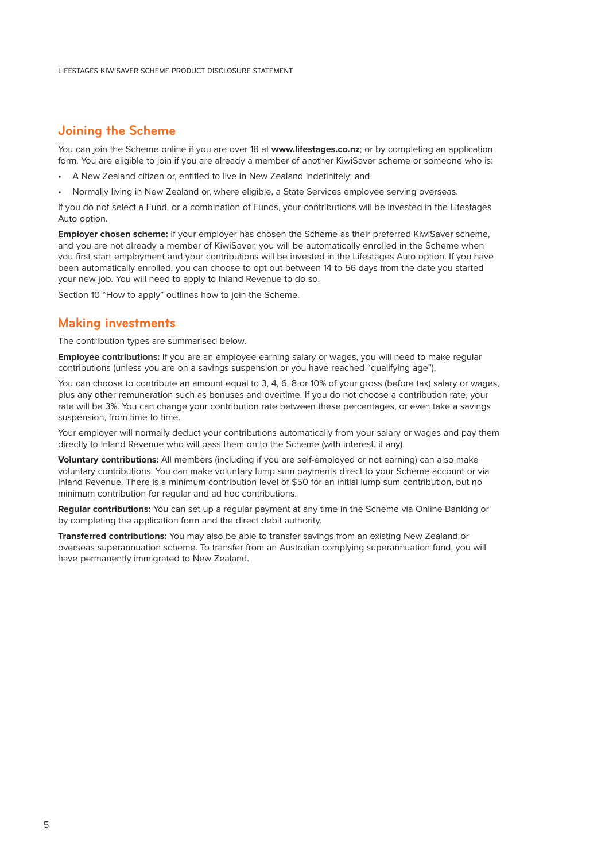### **Joining the Scheme**

You can join the Scheme online if you are over 18 at **[www.lifestages.co.nz](https://www.lifestages.co.nz/)**; or by completing an application form. You are eligible to join if you are already a member of another KiwiSaver scheme or someone who is:

- A New Zealand citizen or, entitled to live in New Zealand indefinitely; and
- Normally living in New Zealand or, where eligible, a State Services employee serving overseas.

If you do not select a Fund, or a combination of Funds, your contributions will be invested in the Lifestages Auto option.

**Employer chosen scheme:** If your employer has chosen the Scheme as their preferred KiwiSaver scheme, and you are not already a member of KiwiSaver, you will be automatically enrolled in the Scheme when you first start employment and your contributions will be invested in the Lifestages Auto option. If you have been automatically enrolled, you can choose to opt out between 14 to 56 days from the date you started your new job. You will need to apply to Inland Revenue to do so.

Section 10 "How to apply" outlines how to join the Scheme.

### **Making investments**

The contribution types are summarised below.

**Employee contributions:** If you are an employee earning salary or wages, you will need to make regular contributions (unless you are on a savings suspension or you have reached "qualifying age").

You can choose to contribute an amount equal to 3, 4, 6, 8 or 10% of your gross (before tax) salary or wages, plus any other remuneration such as bonuses and overtime. If you do not choose a contribution rate, your rate will be 3%. You can change your contribution rate between these percentages, or even take a savings suspension, from time to time.

Your employer will normally deduct your contributions automatically from your salary or wages and pay them directly to Inland Revenue who will pass them on to the Scheme (with interest, if any).

**Voluntary contributions:** All members (including if you are self-employed or not earning) can also make voluntary contributions. You can make voluntary lump sum payments direct to your Scheme account or via Inland Revenue. There is a minimum contribution level of \$50 for an initial lump sum contribution, but no minimum contribution for regular and ad hoc contributions.

**Regular contributions:** You can set up a regular payment at any time in the Scheme via Online Banking or by completing the application form and the direct debit authority.

**Transferred contributions:** You may also be able to transfer savings from an existing New Zealand or overseas superannuation scheme. To transfer from an Australian complying superannuation fund, you will have permanently immigrated to New Zealand.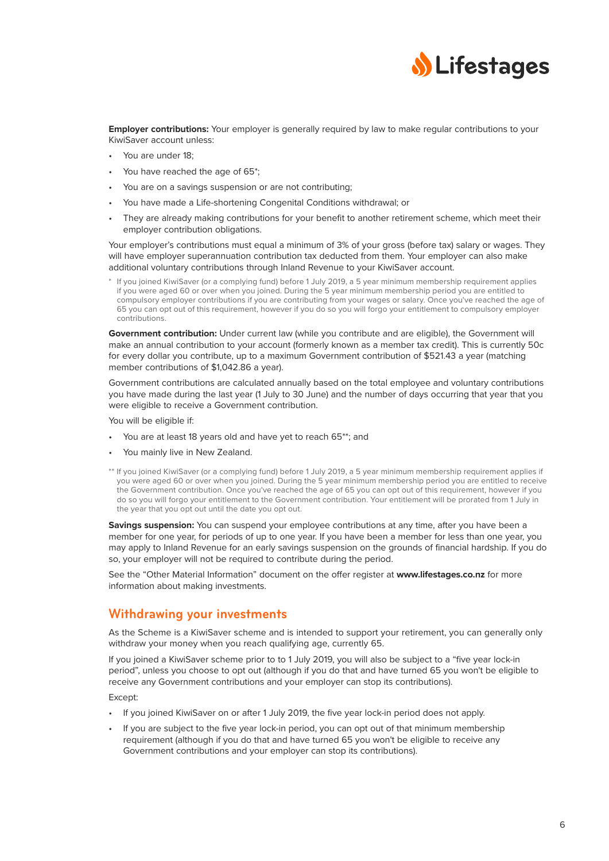

**Employer contributions:** Your employer is generally required by law to make regular contributions to your KiwiSaver account unless:

- You are under 18;
- You have reached the age of 65\*;
- You are on a savings suspension or are not contributing;
- You have made a Life-shortening Congenital Conditions withdrawal; or
- They are already making contributions for your benefit to another retirement scheme, which meet their employer contribution obligations.

Your employer's contributions must equal a minimum of 3% of your gross (before tax) salary or wages. They will have employer superannuation contribution tax deducted from them. Your employer can also make additional voluntary contributions through Inland Revenue to your KiwiSaver account.

If you joined KiwiSaver (or a complying fund) before 1 July 2019, a 5 year minimum membership requirement applies if you were aged 60 or over when you joined. During the 5 year minimum membership period you are entitled to compulsory employer contributions if you are contributing from your wages or salary. Once you've reached the age of 65 you can opt out of this requirement, however if you do so you will forgo your entitlement to compulsory employer contributions.

Government contribution: Under current law (while you contribute and are eligible), the Government will make an annual contribution to your account (formerly known as a member tax credit). This is currently 50c for every dollar you contribute, up to a maximum Government contribution of \$521.43 a year (matching member contributions of \$1,042.86 a year).

Government contributions are calculated annually based on the total employee and voluntary contributions you have made during the last year (1 July to 30 June) and the number of days occurring that year that you were eligible to receive a Government contribution.

You will be eligible if:

- You are at least 18 years old and have yet to reach 65\*\*; and
- You mainly live in New Zealand.
- \*\* If you joined KiwiSaver (or a complying fund) before 1 July 2019, a 5 year minimum membership requirement applies if you were aged 60 or over when you joined. During the 5 year minimum membership period you are entitled to receive the Government contribution. Once you've reached the age of 65 you can opt out of this requirement, however if you do so you will forgo your entitlement to the Government contribution. Your entitlement will be prorated from 1 July in the year that you opt out until the date you opt out.

**Savings suspension:** You can suspend your employee contributions at any time, after you have been a member for one year, for periods of up to one year. If you have been a member for less than one year, you may apply to Inland Revenue for an early savings suspension on the grounds of financial hardship. If you do so, your employer will not be required to contribute during the period.

See the "Other Material Information" document on the offer register at **[www.lifestages.co.nz](https://www.lifestages.co.nz/)** for more information about making investments.

### **Withdrawing your investments**

As the Scheme is a KiwiSaver scheme and is intended to support your retirement, you can generally only withdraw your money when you reach qualifying age, currently 65.

If you joined a KiwiSaver scheme prior to to 1 July 2019, you will also be subject to a "five year lock-in period", unless you choose to opt out (although if you do that and have turned 65 you won't be eligible to receive any Government contributions and your employer can stop its contributions).

#### Except:

- If you joined KiwiSaver on or after 1 July 2019, the five year lock-in period does not apply.
- If you are subject to the five year lock-in period, you can opt out of that minimum membership requirement (although if you do that and have turned 65 you won't be eligible to receive any Government contributions and your employer can stop its contributions).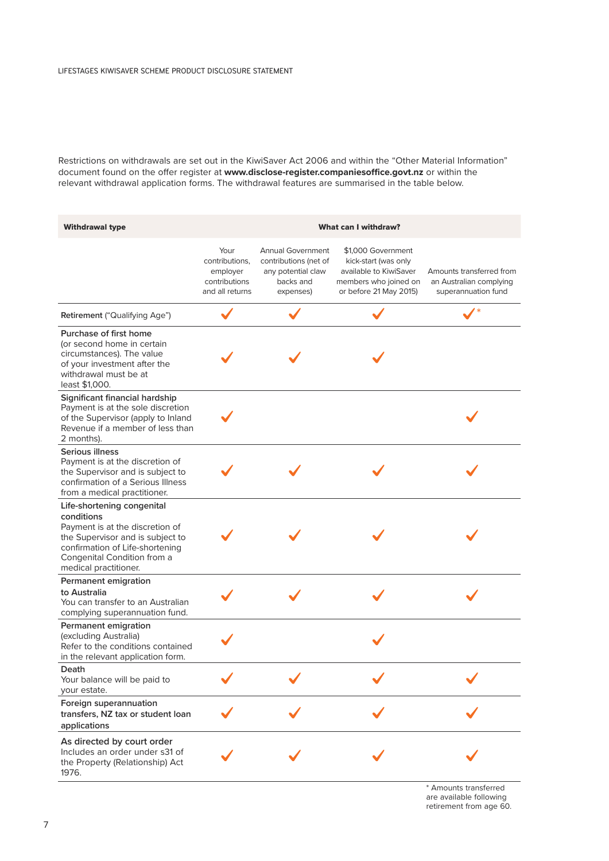Restrictions on withdrawals are set out in the KiwiSaver Act 2006 and within the "Other Material Information" document found on the offer register at **[www.disclose-register.companiesoffice.govt.nz](https://www.disclose-register.companiesoffice.govt.nz/)** or within the relevant withdrawal application forms. The withdrawal features are summarised in the table below.

| <b>Withdrawal type</b>                                                                                                                                                                                     |                                                                        | <b>What can I withdraw?</b>                                                                       |                                                                                                                         |                                                                            |  |
|------------------------------------------------------------------------------------------------------------------------------------------------------------------------------------------------------------|------------------------------------------------------------------------|---------------------------------------------------------------------------------------------------|-------------------------------------------------------------------------------------------------------------------------|----------------------------------------------------------------------------|--|
|                                                                                                                                                                                                            | Your<br>contributions,<br>employer<br>contributions<br>and all returns | <b>Annual Government</b><br>contributions (net of<br>any potential claw<br>backs and<br>expenses) | \$1,000 Government<br>kick-start (was only<br>available to KiwiSaver<br>members who joined on<br>or before 21 May 2015) | Amounts transferred from<br>an Australian complying<br>superannuation fund |  |
| Retirement ("Qualifying Age")                                                                                                                                                                              |                                                                        |                                                                                                   |                                                                                                                         |                                                                            |  |
| Purchase of first home<br>(or second home in certain<br>circumstances). The value<br>of your investment after the<br>withdrawal must be at<br>least \$1,000.                                               |                                                                        |                                                                                                   |                                                                                                                         |                                                                            |  |
| Significant financial hardship<br>Payment is at the sole discretion<br>of the Supervisor (apply to Inland<br>Revenue if a member of less than<br>2 months).                                                |                                                                        |                                                                                                   |                                                                                                                         |                                                                            |  |
| Serious illness<br>Payment is at the discretion of<br>the Supervisor and is subject to<br>confirmation of a Serious Illness<br>from a medical practitioner.                                                |                                                                        |                                                                                                   |                                                                                                                         |                                                                            |  |
| Life-shortening congenital<br>conditions<br>Payment is at the discretion of<br>the Supervisor and is subject to<br>confirmation of Life-shortening<br>Congenital Condition from a<br>medical practitioner. |                                                                        |                                                                                                   |                                                                                                                         |                                                                            |  |
| Permanent emigration<br>to Australia<br>You can transfer to an Australian<br>complying superannuation fund.                                                                                                |                                                                        |                                                                                                   |                                                                                                                         |                                                                            |  |
| Permanent emigration<br>(excluding Australia)<br>Refer to the conditions contained<br>in the relevant application form.                                                                                    |                                                                        |                                                                                                   |                                                                                                                         |                                                                            |  |
| Death<br>Your balance will be paid to<br>your estate.                                                                                                                                                      |                                                                        | $\mathbf{z}$                                                                                      |                                                                                                                         |                                                                            |  |
| Foreign superannuation<br>transfers, NZ tax or student loan<br>applications                                                                                                                                |                                                                        |                                                                                                   |                                                                                                                         |                                                                            |  |
| As directed by court order<br>Includes an order under s31 of<br>the Property (Relationship) Act<br>1976.                                                                                                   |                                                                        |                                                                                                   |                                                                                                                         |                                                                            |  |

\* Amounts transferred are available following retirement from age 60.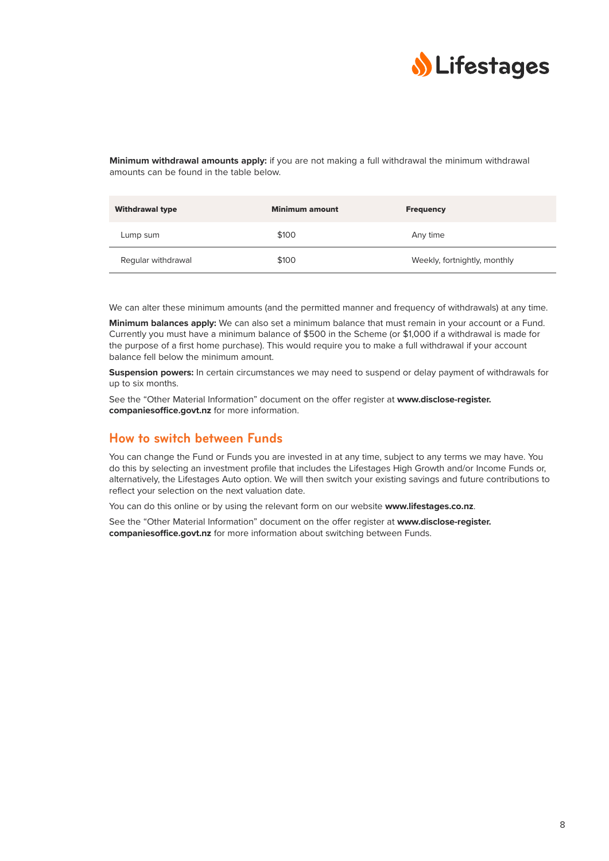

**Minimum withdrawal amounts apply:** if you are not making a full withdrawal the minimum withdrawal amounts can be found in the table below.

| <b>Withdrawal type</b> | <b>Minimum amount</b> | <b>Frequency</b>             |
|------------------------|-----------------------|------------------------------|
| Lump sum               | \$100                 | Any time                     |
| Regular withdrawal     | \$100                 | Weekly, fortnightly, monthly |

We can alter these minimum amounts (and the permitted manner and frequency of withdrawals) at any time.

**Minimum balances apply:** We can also set a minimum balance that must remain in your account or a Fund. Currently you must have a minimum balance of \$500 in the Scheme (or \$1,000 if a withdrawal is made for the purpose of a first home purchase). This would require you to make a full withdrawal if your account balance fell below the minimum amount.

**Suspension powers:** In certain circumstances we may need to suspend or delay payment of withdrawals for up to six months.

See the "Other Material Information" document on the offer register at **[www.disclose-register.](https://www.disclose-register.companiesoffice.govt.nz/) [companiesoffice.govt.nz](https://www.disclose-register.companiesoffice.govt.nz/)** for more information.

### **How to switch between Funds**

You can change the Fund or Funds you are invested in at any time, subject to any terms we may have. You do this by selecting an investment profile that includes the Lifestages High Growth and/or Income Funds or, alternatively, the Lifestages Auto option. We will then switch your existing savings and future contributions to reflect your selection on the next valuation date.

You can do this online or by using the relevant form on our website **[www.lifestages.co.nz](https://www.lifestages.co.nz/)**.

See the "Other Material Information" document on the offer register at **[www.disclose-register.](https://www.disclose-register.companiesoffice.govt.nz/) [companiesoffice.govt.nz](https://www.disclose-register.companiesoffice.govt.nz/)** for more information about switching between Funds.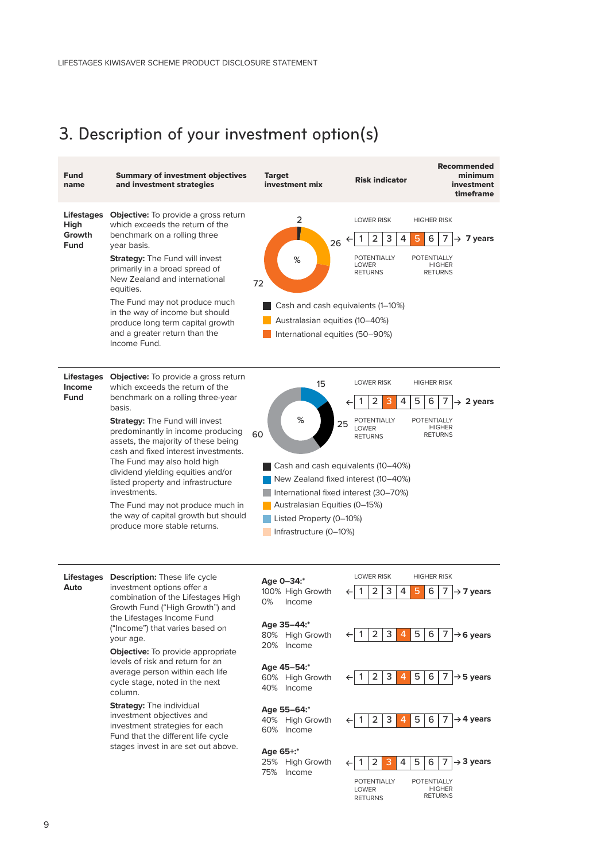# <span id="page-9-0"></span>3. Description of your investment option(s)

| <b>Fund</b><br>name                                | <b>Summary of investment objectives</b><br>and investment strategies                                                                                                                                                                                                                                                                                                                                                                                                                                                                                                     | <b>Target</b><br>investment mix                                                                                                                                                                                                                 | <b>Risk indicator</b>                                                                                                                                                                                                       | <b>Recommended</b><br>minimum<br>investment<br>timeframe                                                                                                                                                                                              |
|----------------------------------------------------|--------------------------------------------------------------------------------------------------------------------------------------------------------------------------------------------------------------------------------------------------------------------------------------------------------------------------------------------------------------------------------------------------------------------------------------------------------------------------------------------------------------------------------------------------------------------------|-------------------------------------------------------------------------------------------------------------------------------------------------------------------------------------------------------------------------------------------------|-----------------------------------------------------------------------------------------------------------------------------------------------------------------------------------------------------------------------------|-------------------------------------------------------------------------------------------------------------------------------------------------------------------------------------------------------------------------------------------------------|
| <b>Lifestages</b><br>High<br>Growth<br><b>Fund</b> | <b>Objective:</b> To provide a gross return<br>which exceeds the return of the<br>benchmark on a rolling three<br>year basis.<br><b>Strategy: The Fund will invest</b><br>primarily in a broad spread of<br>New Zealand and international<br>equities.<br>The Fund may not produce much<br>in the way of income but should<br>produce long term capital growth<br>and a greater return than the<br>Income Fund.                                                                                                                                                          | 2<br>26<br>%<br>72<br>Cash and cash equivalents (1-10%)<br>Australasian equities (10–40%)<br>International equities (50-90%)                                                                                                                    | <b>LOWER RISK</b><br>2<br>3<br>4<br>5<br><b>POTENTIALLY</b><br><b>LOWER</b><br><b>RETURNS</b>                                                                                                                               | <b>HIGHER RISK</b><br>6<br>7<br>$\rightarrow$ 7 years<br>POTENTIALLY<br><b>HIGHER</b><br><b>RETURNS</b>                                                                                                                                               |
| <b>Lifestages</b><br>Income<br><b>Fund</b>         | <b>Objective:</b> To provide a gross return<br>which exceeds the return of the<br>benchmark on a rolling three-year<br>basis.<br><b>Strategy:</b> The Fund will invest<br>predominantly in income producing<br>assets, the majority of these being<br>cash and fixed interest investments.<br>The Fund may also hold high<br>dividend yielding equities and/or<br>listed property and infrastructure<br>investments.<br>The Fund may not produce much in<br>the way of capital growth but should<br>produce more stable returns.                                         | 15<br>%<br>25<br>60<br>Cash and cash equivalents (10-40%)<br>New Zealand fixed interest (10-40%)<br>International fixed interest (30-70%)<br>Australasian Equities (0-15%)<br>Listed Property (0-10%)<br>Infrastructure (0-10%)                 | <b>LOWER RISK</b><br>5<br>2<br>4<br>3<br>POTENTIALLY<br><b>LOWER</b><br><b>RETURNS</b>                                                                                                                                      | <b>HIGHER RISK</b><br>6<br>7<br>$\rightarrow$ 2 years<br><b>POTENTIALLY</b><br><b>HIGHER</b><br><b>RETURNS</b>                                                                                                                                        |
| <b>Lifestages</b><br>Auto                          | <b>Description:</b> These life cycle<br>investment options offer a<br>combination of the Lifestages High<br>Growth Fund ("High Growth") and<br>the Lifestages Income Fund<br>("Income") that varies based on<br>your age.<br><b>Objective:</b> To provide appropriate<br>levels of risk and return for an<br>average person within each life<br>cycle stage, noted in the next<br>column.<br><b>Strategy: The individual</b><br>investment objectives and<br>investment strategies for each<br>Fund that the different life cycle<br>stages invest in are set out above. | Age 0-34:*<br>100% High Growth<br>0%<br>Income<br>Age 35-44:*<br>80% High Growth<br>20% Income<br>Age 45-54:*<br>60% High Growth<br>40% Income<br>Age 55-64:*<br>40% High Growth<br>60% Income<br>Age 65+:*<br>25% High Growth<br>75%<br>Income | <b>LOWER RISK</b><br>2<br>3<br>4<br>5<br>3<br>5<br>2<br>4<br>1<br>3<br>$\overline{4}$<br>5<br>1<br>2<br>5<br>2<br>3<br>$\overline{4}$<br>1<br>3<br>4<br>5<br>1<br>2<br><b>POTENTIALLY</b><br><b>LOWER</b><br><b>RETURNS</b> | <b>HIGHER RISK</b><br>6<br>$\rightarrow$ 7 years<br>6<br>7<br>$\rightarrow$ 6 years<br>6<br>7<br>$\rightarrow$ 5 years<br>$\rightarrow$ 4 years<br>6<br>7<br>6<br>$\rightarrow$ 3 years<br>7<br><b>POTENTIALLY</b><br><b>HIGHER</b><br><b>RETURNS</b> |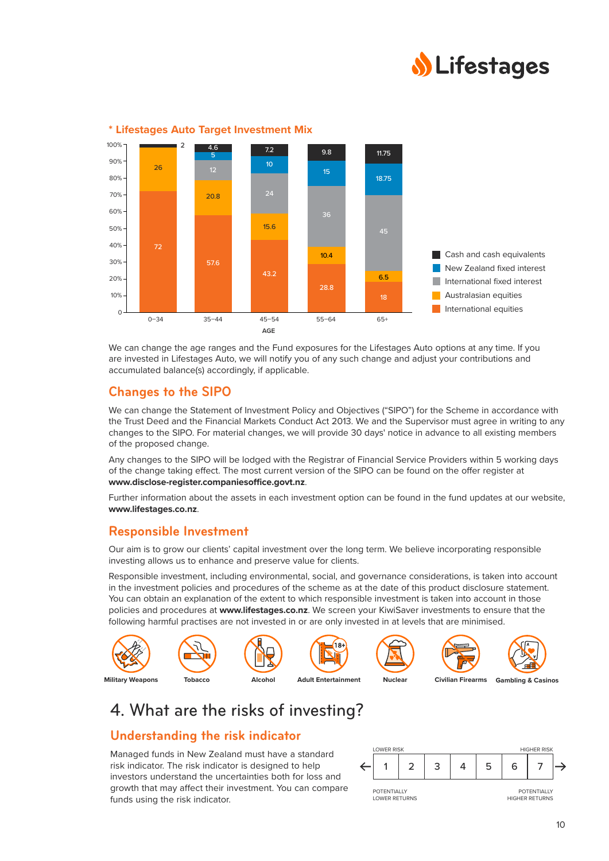



#### <span id="page-10-0"></span>**\* Lifestages Auto Target Investment Mix**

We can change the age ranges and the Fund exposures for the Lifestages Auto options at any time. If you are invested in Lifestages Auto, we will notify you of any such change and adjust your contributions and accumulated balance(s) accordingly, if applicable.

### **Changes to the SIPO**

We can change the Statement of Investment Policy and Objectives ("SIPO") for the Scheme in accordance with the Trust Deed and the Financial Markets Conduct Act 2013. We and the Supervisor must agree in writing to any changes to the SIPO. For material changes, we will provide 30 days' notice in advance to all existing members of the proposed change.

Any changes to the SIPO will be lodged with the Registrar of Financial Service Providers within 5 working days of the change taking effect. The most current version of the SIPO can be found on the offer register at **[www.disclose-register.companiesoffice.govt.nz](https://www.disclose-register.companiesoffice.govt.nz/)**.

Further information about the assets in each investment option can be found in the fund updates at our website, **[www.lifestages.co.nz](https://www.lifestages.co.nz/)**.

### **Responsible Investment**

Our aim is to grow our clients' capital investment over the long term. We believe incorporating responsible investing allows us to enhance and preserve value for clients.

Responsible investment, including environmental, social, and governance considerations, is taken into account in the investment policies and procedures of the scheme as at the date of this product disclosure statement. You can obtain an explanation of the extent to which responsible investment is taken into account in those policies and procedures at **[www.lifestages.co.nz](https://www.lifestages.co.nz)**. We screen your KiwiSaver investments to ensure that the following harmful practises are not invested in or are only invested in at levels that are minimised.



# 4. What are the risks of investing?

### **Understanding the risk indicator**

Managed funds in New Zealand must have a standard risk indicator. The risk indicator is designed to help investors understand the uncertainties both for loss and growth that may affect their investment. You can compare funds using the risk indicator.

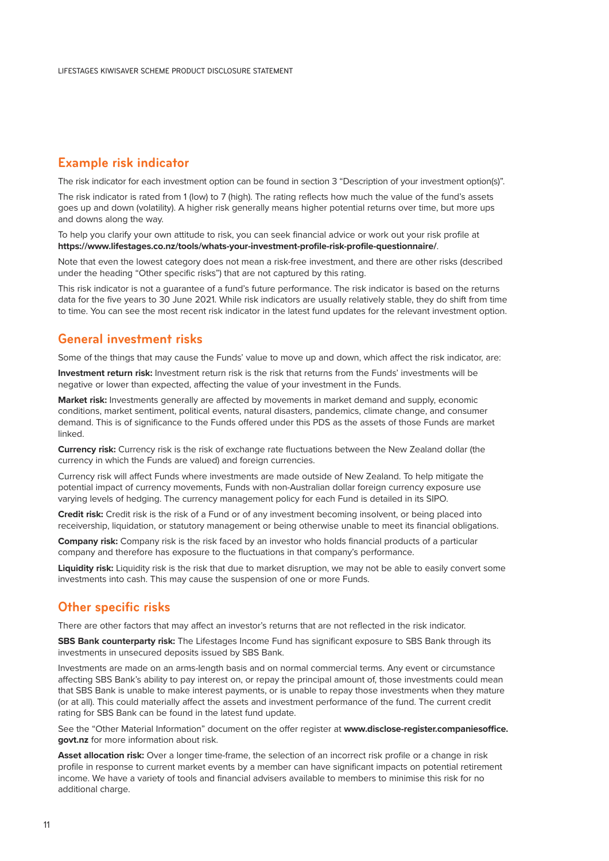### **Example risk indicator**

The risk indicator for each investment option can be found in section 3 "Description of your investment option(s)".

The risk indicator is rated from 1 (low) to 7 (high). The rating reflects how much the value of the fund's assets goes up and down (volatility). A higher risk generally means higher potential returns over time, but more ups and downs along the way.

To help you clarify your own attitude to risk, you can seek financial advice or work out your risk profile at **[https://www.lifestages.co.nz/tools/whats-your-investment-profile-risk-profile-questionnaire/](https://www.lifestages.co.nz/tools/whats-your-investment-profile-risk-profile-questionnaire)**.

Note that even the lowest category does not mean a risk-free investment, and there are other risks (described under the heading "Other specific risks") that are not captured by this rating.

This risk indicator is not a guarantee of a fund's future performance. The risk indicator is based on the returns data for the five years to 30 June 2021. While risk indicators are usually relatively stable, they do shift from time to time. You can see the most recent risk indicator in the latest fund updates for the relevant investment option.

### **General investment risks**

Some of the things that may cause the Funds' value to move up and down, which affect the risk indicator, are:

**Investment return risk:** Investment return risk is the risk that returns from the Funds' investments will be negative or lower than expected, affecting the value of your investment in the Funds.

**Market risk:** Investments generally are affected by movements in market demand and supply, economic conditions, market sentiment, political events, natural disasters, pandemics, climate change, and consumer demand. This is of significance to the Funds offered under this PDS as the assets of those Funds are market linked.

**Currency risk:** Currency risk is the risk of exchange rate fluctuations between the New Zealand dollar (the currency in which the Funds are valued) and foreign currencies.

Currency risk will affect Funds where investments are made outside of New Zealand. To help mitigate the potential impact of currency movements, Funds with non-Australian dollar foreign currency exposure use varying levels of hedging. The currency management policy for each Fund is detailed in its SIPO.

**Credit risk:** Credit risk is the risk of a Fund or of any investment becoming insolvent, or being placed into receivership, liquidation, or statutory management or being otherwise unable to meet its financial obligations.

**Company risk:** Company risk is the risk faced by an investor who holds financial products of a particular company and therefore has exposure to the fluctuations in that company's performance.

**Liquidity risk:** Liquidity risk is the risk that due to market disruption, we may not be able to easily convert some investments into cash. This may cause the suspension of one or more Funds.

### **Other specific risks**

There are other factors that may affect an investor's returns that are not reflected in the risk indicator.

**SBS Bank counterparty risk:** The Lifestages Income Fund has significant exposure to SBS Bank through its investments in unsecured deposits issued by SBS Bank.

Investments are made on an arms-length basis and on normal commercial terms. Any event or circumstance affecting SBS Bank's ability to pay interest on, or repay the principal amount of, those investments could mean that SBS Bank is unable to make interest payments, or is unable to repay those investments when they mature (or at all). This could materially affect the assets and investment performance of the fund. The current credit rating for SBS Bank can be found in the latest fund update.

See the "Other Material Information" document on the offer register at **[www.disclose-register.companiesoffice.](https://www.disclose-register.companiesoffice.govt.nz/) [govt.nz](https://www.disclose-register.companiesoffice.govt.nz/)** for more information about risk.

**Asset allocation risk:** Over a longer time-frame, the selection of an incorrect risk profile or a change in risk profile in response to current market events by a member can have significant impacts on potential retirement income. We have a variety of tools and financial advisers available to members to minimise this risk for no additional charge.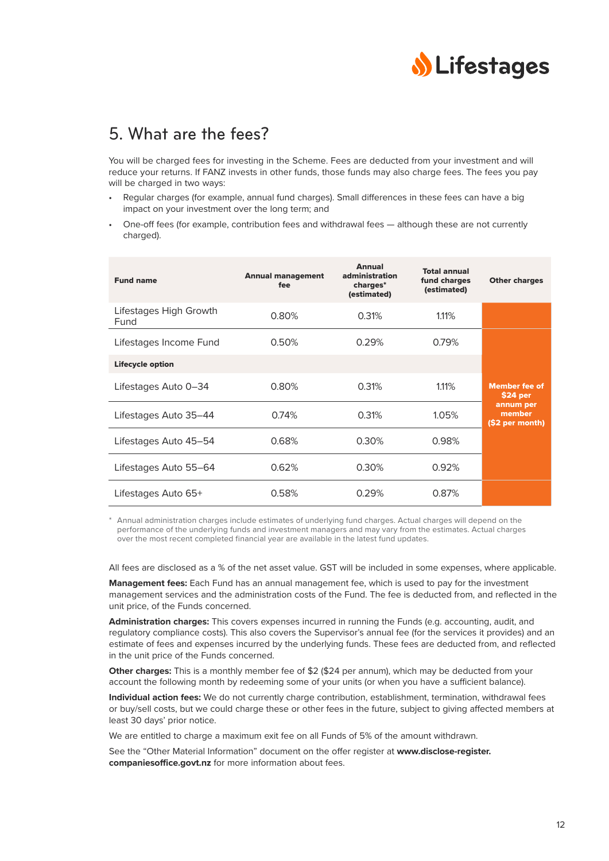

## <span id="page-12-0"></span>5. What are the fees?

You will be charged fees for investing in the Scheme. Fees are deducted from your investment and will reduce your returns. If FANZ invests in other funds, those funds may also charge fees. The fees you pay will be charged in two ways:

- Regular charges (for example, annual fund charges). Small differences in these fees can have a big impact on your investment over the long term; and
- One-off fees (for example, contribution fees and withdrawal fees although these are not currently charged).

| <b>Fund name</b>               | <b>Annual management</b><br>fee | <b>Annual</b><br>administration<br>charges*<br>(estimated) | <b>Total annual</b><br>fund charges<br>(estimated) | <b>Other charges</b>                   |
|--------------------------------|---------------------------------|------------------------------------------------------------|----------------------------------------------------|----------------------------------------|
| Lifestages High Growth<br>Fund | 0.80%                           | 0.31%                                                      | 1.11%                                              |                                        |
| Lifestages Income Fund         | 0.50%                           | 0.29%                                                      | 0.79%                                              |                                        |
| <b>Lifecycle option</b>        |                                 |                                                            |                                                    |                                        |
| Lifestages Auto 0-34           | 0.80%                           | 0.31%                                                      | 1.11%                                              | <b>Member fee of</b><br>\$24 per       |
| Lifestages Auto 35–44          | 0.74%                           | 0.31%                                                      | 1.05%                                              | annum per<br>member<br>(\$2 per month) |
| Lifestages Auto 45–54          | 0.68%                           | 0.30%                                                      | 0.98%                                              |                                        |
| Lifestages Auto 55–64          | 0.62%                           | 0.30%                                                      | 0.92%                                              |                                        |
| Lifestages Auto 65+            | 0.58%                           | 0.29%                                                      | 0.87%                                              |                                        |

\* Annual administration charges include estimates of underlying fund charges. Actual charges will depend on the performance of the underlying funds and investment managers and may vary from the estimates. Actual charges over the most recent completed financial year are available in the latest fund updates.

All fees are disclosed as a % of the net asset value. GST will be included in some expenses, where applicable.

**Management fees:** Each Fund has an annual management fee, which is used to pay for the investment management services and the administration costs of the Fund. The fee is deducted from, and reflected in the unit price, of the Funds concerned.

**Administration charges:** This covers expenses incurred in running the Funds (e.g. accounting, audit, and regulatory compliance costs). This also covers the Supervisor's annual fee (for the services it provides) and an estimate of fees and expenses incurred by the underlying funds. These fees are deducted from, and reflected in the unit price of the Funds concerned.

**Other charges:** This is a monthly member fee of \$2 (\$24 per annum), which may be deducted from your account the following month by redeeming some of your units (or when you have a sufficient balance).

**Individual action fees:** We do not currently charge contribution, establishment, termination, withdrawal fees or buy/sell costs, but we could charge these or other fees in the future, subject to giving affected members at least 30 days' prior notice.

We are entitled to charge a maximum exit fee on all Funds of 5% of the amount withdrawn.

See the "Other Material Information" document on the offer register at **[www.disclose-register.](https://www.disclose-register.companiesoffice.govt.nz/) [companiesoffice.govt.nz](https://www.disclose-register.companiesoffice.govt.nz/)** for more information about fees.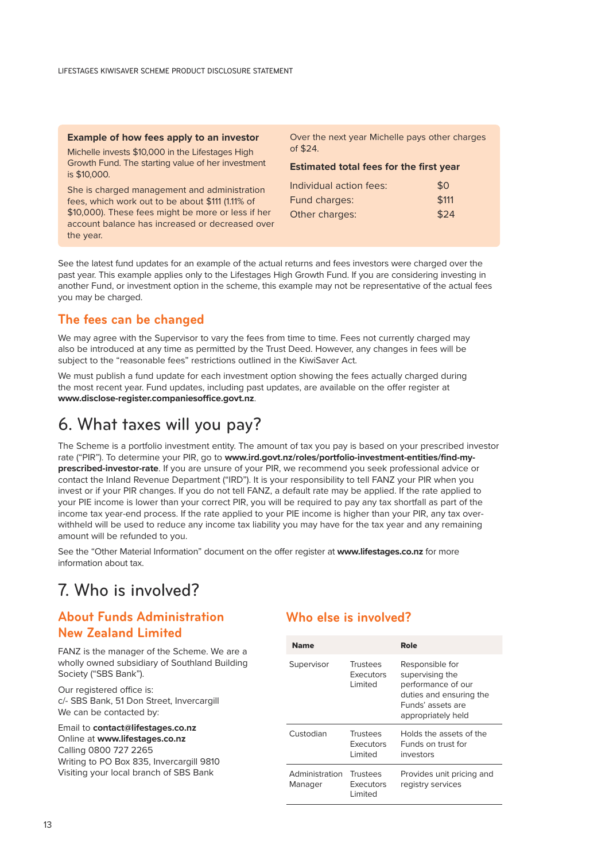<span id="page-13-0"></span>

| Example of how fees apply to an investor                                                                           | Over the next year Michelle pays other charges<br>of \$24. |       |
|--------------------------------------------------------------------------------------------------------------------|------------------------------------------------------------|-------|
| Michelle invests \$10,000 in the Lifestages High<br>Growth Fund. The starting value of her investment              | <b>Estimated total fees for the first year</b>             |       |
| is \$10,000.                                                                                                       | Individual action fees:                                    | \$0   |
| She is charged management and administration<br>fees, which work out to be about \$111 (1.11% of                   | Fund charges:                                              | \$111 |
| \$10,000). These fees might be more or less if her<br>account balance has increased or decreased over<br>the year. | Other charges:                                             | \$24  |

See the latest fund updates for an example of the actual returns and fees investors were charged over the past year. This example applies only to the Lifestages High Growth Fund. If you are considering investing in another Fund, or investment option in the scheme, this example may not be representative of the actual fees you may be charged.

### **The fees can be changed**

We may agree with the Supervisor to vary the fees from time to time. Fees not currently charged may also be introduced at any time as permitted by the Trust Deed. However, any changes in fees will be subject to the "reasonable fees" restrictions outlined in the KiwiSaver Act.

We must publish a fund update for each investment option showing the fees actually charged during the most recent year. Fund updates, including past updates, are available on the offer register at **[www.disclose-register.companiesoffice.govt.nz](https://www.disclose-register.companiesoffice.govt.nz/)**.

# 6. What taxes will you pay?

The Scheme is a portfolio investment entity. The amount of tax you pay is based on your prescribed investor rate ("PIR"). To determine your PIR, go to **[www.ird.govt.nz/roles/portfolio-investment-entities/find-my](https://www.ird.govt.nz/roles/portfolio-investment-entities/find-my-prescribed-investor-rate)[prescribed-investor-rate](https://www.ird.govt.nz/roles/portfolio-investment-entities/find-my-prescribed-investor-rate)**. If you are unsure of your PIR, we recommend you seek professional advice or contact the Inland Revenue Department ("IRD"). It is your responsibility to tell FANZ your PIR when you invest or if your PIR changes. If you do not tell FANZ, a default rate may be applied. If the rate applied to your PIE income is lower than your correct PIR, you will be required to pay any tax shortfall as part of the income tax year-end process. If the rate applied to your PIE income is higher than your PIR, any tax overwithheld will be used to reduce any income tax liability you may have for the tax year and any remaining amount will be refunded to you.

See the "Other Material Information" document on the offer register at **[www.lifestages.co.nz](https://www.lifestages.co.nz/)** for more information about tax.

# 7. Who is involved?

### **About Funds Administration New Zealand Limited**

FANZ is the manager of the Scheme. We are a wholly owned subsidiary of Southland Building Society ("SBS Bank").

Our registered office is: c/- SBS Bank, 51 Don Street, Invercargill We can be contacted by:

Email to **[contact@lifestages.co.nz](mailto:contact%40lifestages.co.nz?subject=)** Online at **[www.lifestages.co.nz](https://www.lifestages.co.nz/)** Calling 0800 727 2265 Writing to PO Box 835, Invercargill 9810 Visiting your local branch of SBS Bank

### **Who else is involved?**

| <b>Name</b>               |                                          | Role                                                                                                                           |
|---------------------------|------------------------------------------|--------------------------------------------------------------------------------------------------------------------------------|
| Supervisor                | Trustees<br><b>Executors</b><br>I imited | Responsible for<br>supervising the<br>performance of our<br>duties and ensuring the<br>Funds' assets are<br>appropriately held |
| Custodian                 | Trustees<br><b>Executors</b><br>I imited | Holds the assets of the<br>Funds on trust for<br>investors                                                                     |
| Administration<br>Manager | Trustees<br><b>Executors</b><br>I imited | Provides unit pricing and<br>registry services                                                                                 |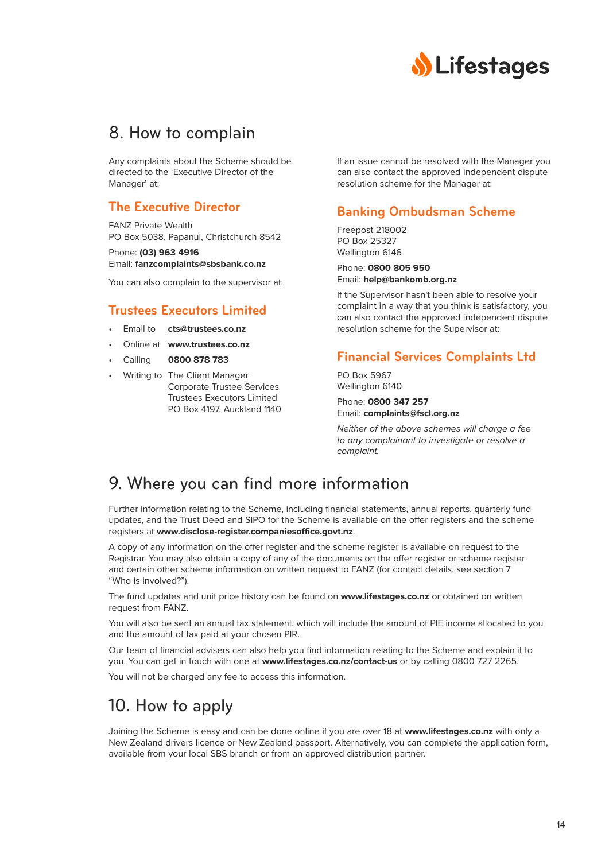

## <span id="page-14-0"></span>8. How to complain

Any complaints about the Scheme should be directed to the 'Executive Director of the Manager' at:

### **The Executive Director**

FANZ Private Wealth PO Box 5038, Papanui, Christchurch 8542

Phone: **(03) 963 4916** Email: **[fanzcomplaints@sbsbank.co.nz](mailto:fanzcomplaints%40sbsbank.co.nz?subject=)**

You can also complain to the supervisor at:

### **Trustees Executors Limited**

- Email to **[cts@trustees.co.nz](mailto:cts%40trustees.co.nz?subject=)**
- Online at **[www.trustees.co.nz](http://www.trustees.co.nz)**
- Calling **0800 878 783**
	- Writing to The Client Manager Corporate Trustee Services Trustees Executors Limited PO Box 4197, Auckland 1140

If an issue cannot be resolved with the Manager you can also contact the approved independent dispute resolution scheme for the Manager at:

### **Banking Ombudsman Scheme**

Freepost 218002 PO Box 25327 Wellington 6146

Phone: **0800 805 950** Email: **[help@bankomb.org.nz](mailto:help%40bankomb.org.nz?subject=)**

If the Supervisor hasn't been able to resolve your complaint in a way that you think is satisfactory, you can also contact the approved independent dispute resolution scheme for the Supervisor at:

### **Financial Services Complaints Ltd**

PO Box 5967 Wellington 6140

Phone: **0800 347 257** Email: **[complaints@fscl.org.nz](mailto:complaints%40fscl.org.nz?subject=)**

*Neither of the above schemes will charge a fee to any complainant to investigate or resolve a complaint.*

# 9. Where you can find more information

Further information relating to the Scheme, including financial statements, annual reports, quarterly fund updates, and the Trust Deed and SIPO for the Scheme is available on the offer registers and the scheme registers at **[www.disclose-register.companiesoffice.govt.nz](https://www.disclose-register.companiesoffice.govt.nz/)**.

A copy of any information on the offer register and the scheme register is available on request to the Registrar. You may also obtain a copy of any of the documents on the offer register or scheme register and certain other scheme information on written request to FANZ (for contact details, see section 7 "Who is involved?").

The fund updates and unit price history can be found on **[www.lifestages.co.nz](https://www.lifestages.co.nz/)** or obtained on written request from FANZ.

You will also be sent an annual tax statement, which will include the amount of PIE income allocated to you and the amount of tax paid at your chosen PIR.

Our team of financial advisers can also help you find information relating to the Scheme and explain it to you. You can get in touch with one at **[www.lifestages.co.nz/contact-us](https://www.lifestages.co.nz/contact-us)** or by calling 0800 727 2265.

You will not be charged any fee to access this information.

# 10. How to apply

Joining the Scheme is easy and can be done online if you are over 18 at **[www.lifestages.co.nz](https://www.lifestages.co.nz/)** with only a New Zealand drivers licence or New Zealand passport. Alternatively, you can complete the application form, available from your local SBS branch or from an approved distribution partner.